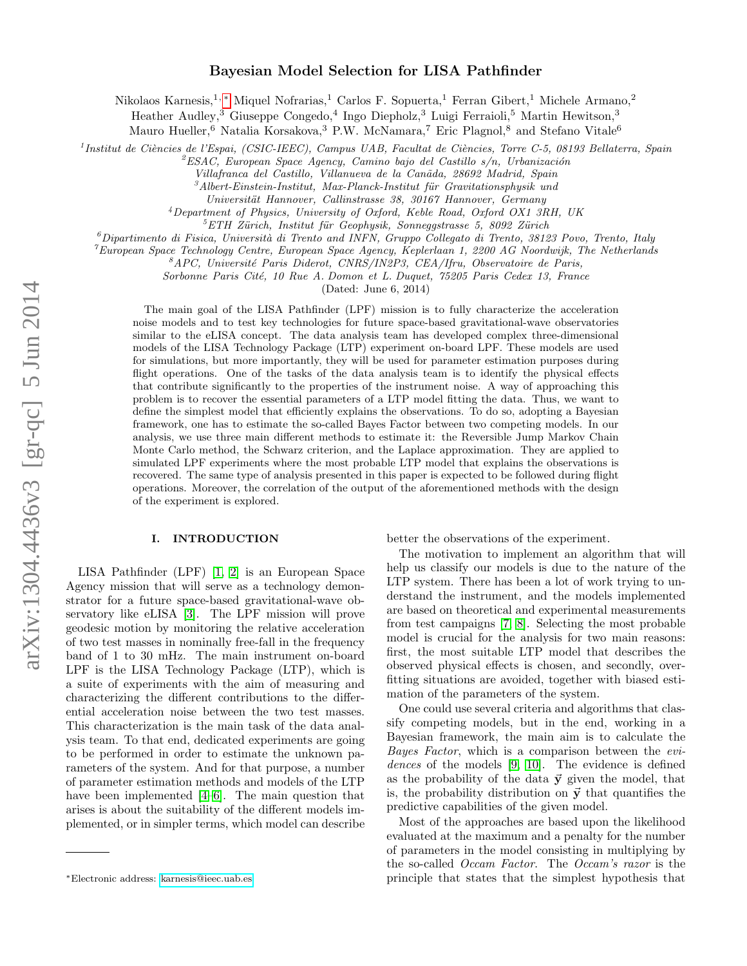# Bayesian Model Selection for LISA Pathfinder

Nikolaos Karnesis,<sup>1,</sup> [∗](#page-0-0) Miquel Nofrarias,<sup>1</sup> Carlos F. Sopuerta,<sup>1</sup> Ferran Gibert,<sup>1</sup> Michele Armano,<sup>2</sup>

Heather Audley,<sup>3</sup> Giuseppe Congedo,<sup>4</sup> Ingo Diepholz,<sup>3</sup> Luigi Ferraioli,<sup>5</sup> Martin Hewitson,<sup>3</sup>

Mauro Hueller,<sup>6</sup> Natalia Korsakova,<sup>3</sup> P.W. McNamara,<sup>7</sup> Eric Plagnol,<sup>8</sup> and Stefano Vitale<sup>6</sup>

 $^{1}$ Institut de Ciències de l'Espai, (CSIC-IEEC), Campus UAB, Facultat de Ciències, Torre C-5, 08193 Bellaterra, Spain

 ${}^{2}ESAC$ , European Space Agency, Camino bajo del Castillo s/n, Urbanización

Villafranca del Castillo, Villanueva de la Can˜ada, 28692 Madrid, Spain

 $3$ Albert-Einstein-Institut, Max-Planck-Institut für Gravitationsphysik und

Universität Hannover, Callinstrasse 38, 30167 Hannover, Germany

<sup>4</sup>Department of Physics, University of Oxford, Keble Road, Oxford OX1 3RH, UK

 ${}^{5}ETH$  Zürich, Institut für Geophysik, Sonneggstrasse 5, 8092 Zürich

 $^6$ Dipartimento di Fisica, Università di Trento and INFN, Gruppo Collegato di Trento, 38123 Povo, Trento, Italy

 $7$ European Space Technology Centre, European Space Agency, Keplerlaan 1, 2200 AG Noordwijk, The Netherlands

 ${}^8$ APC, Université Paris Diderot, CNRS/IN2P3, CEA/Ifru, Observatoire de Paris,

Sorbonne Paris Cité, 10 Rue A. Domon et L. Duquet, 75205 Paris Cedex 13, France

(Dated: June 6, 2014)

The main goal of the LISA Pathfinder (LPF) mission is to fully characterize the acceleration noise models and to test key technologies for future space-based gravitational-wave observatories similar to the eLISA concept. The data analysis team has developed complex three-dimensional models of the LISA Technology Package (LTP) experiment on-board LPF. These models are used for simulations, but more importantly, they will be used for parameter estimation purposes during flight operations. One of the tasks of the data analysis team is to identify the physical effects that contribute significantly to the properties of the instrument noise. A way of approaching this problem is to recover the essential parameters of a LTP model fitting the data. Thus, we want to define the simplest model that efficiently explains the observations. To do so, adopting a Bayesian framework, one has to estimate the so-called Bayes Factor between two competing models. In our analysis, we use three main different methods to estimate it: the Reversible Jump Markov Chain Monte Carlo method, the Schwarz criterion, and the Laplace approximation. They are applied to simulated LPF experiments where the most probable LTP model that explains the observations is recovered. The same type of analysis presented in this paper is expected to be followed during flight operations. Moreover, the correlation of the output of the aforementioned methods with the design of the experiment is explored.

#### I. INTRODUCTION

LISA Pathfinder (LPF) [\[1,](#page-9-0) [2\]](#page-9-1) is an European Space Agency mission that will serve as a technology demonstrator for a future space-based gravitational-wave observatory like eLISA [\[3\]](#page-9-2). The LPF mission will prove geodesic motion by monitoring the relative acceleration of two test masses in nominally free-fall in the frequency band of 1 to 30 mHz. The main instrument on-board LPF is the LISA Technology Package (LTP), which is a suite of experiments with the aim of measuring and characterizing the different contributions to the differential acceleration noise between the two test masses. This characterization is the main task of the data analysis team. To that end, dedicated experiments are going to be performed in order to estimate the unknown parameters of the system. And for that purpose, a number of parameter estimation methods and models of the LTP have been implemented [\[4–](#page-9-3)[6\]](#page-9-4). The main question that arises is about the suitability of the different models implemented, or in simpler terms, which model can describe better the observations of the experiment.

The motivation to implement an algorithm that will help us classify our models is due to the nature of the LTP system. There has been a lot of work trying to understand the instrument, and the models implemented are based on theoretical and experimental measurements from test campaigns [\[7,](#page-9-5) [8\]](#page-9-6). Selecting the most probable model is crucial for the analysis for two main reasons: first, the most suitable LTP model that describes the observed physical effects is chosen, and secondly, overfitting situations are avoided, together with biased estimation of the parameters of the system.

One could use several criteria and algorithms that classify competing models, but in the end, working in a Bayesian framework, the main aim is to calculate the Bayes Factor, which is a comparison between the evi-dences of the models [\[9,](#page-9-7) [10\]](#page-9-8). The evidence is defined as the probability of the data  $\vec{y}$  given the model, that is, the probability distribution on  $\vec{y}$  that quantifies the predictive capabilities of the given model.

Most of the approaches are based upon the likelihood evaluated at the maximum and a penalty for the number of parameters in the model consisting in multiplying by the so-called Occam Factor. The Occam's razor is the principle that states that the simplest hypothesis that

<span id="page-0-0"></span><sup>∗</sup>Electronic address: [karnesis@ieec.uab.es](mailto:karnesis@ieec.uab.es)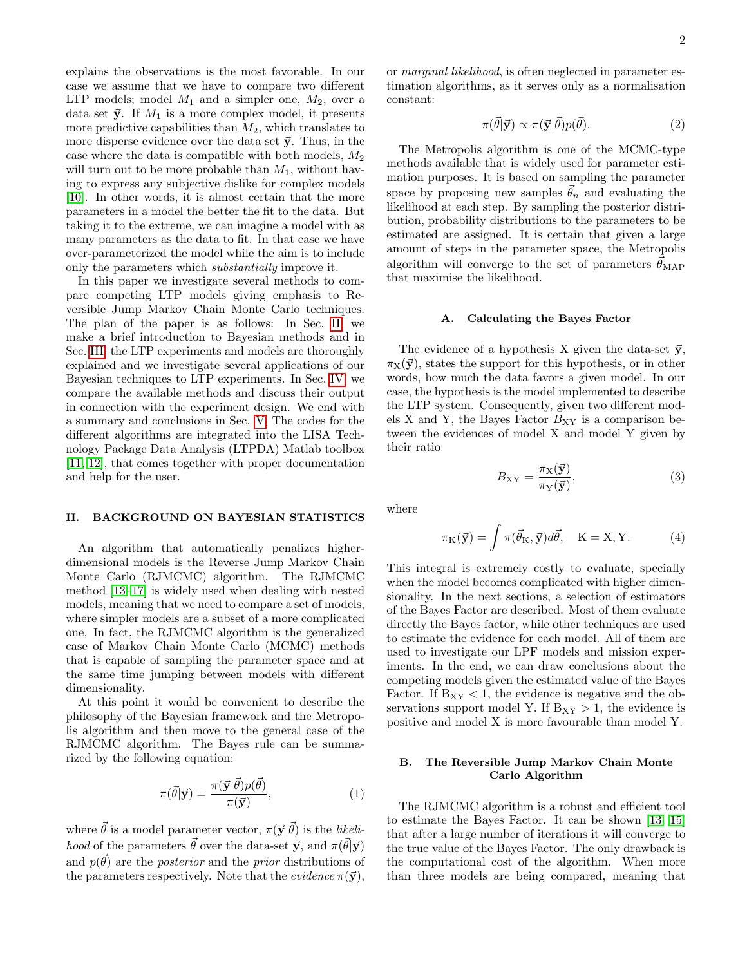explains the observations is the most favorable. In our case we assume that we have to compare two different LTP models; model  $M_1$  and a simpler one,  $M_2$ , over a data set  $\vec{y}$ . If  $M_1$  is a more complex model, it presents more predictive capabilities than  $M_2$ , which translates to more disperse evidence over the data set  $\vec{y}$ . Thus, in the case where the data is compatible with both models,  $M_2$ will turn out to be more probable than  $M_1$ , without having to express any subjective dislike for complex models [\[10\]](#page-9-8). In other words, it is almost certain that the more parameters in a model the better the fit to the data. But taking it to the extreme, we can imagine a model with as many parameters as the data to fit. In that case we have over-parameterized the model while the aim is to include only the parameters which substantially improve it.

In this paper we investigate several methods to compare competing LTP models giving emphasis to Reversible Jump Markov Chain Monte Carlo techniques. The plan of the paper is as follows: In Sec. [II,](#page-1-0) we make a brief introduction to Bayesian methods and in Sec. [III,](#page-3-0) the LTP experiments and models are thoroughly explained and we investigate several applications of our Bayesian techniques to LTP experiments. In Sec. [IV,](#page-7-0) we compare the available methods and discuss their output in connection with the experiment design. We end with a summary and conclusions in Sec. [V.](#page-9-9) The codes for the different algorithms are integrated into the LISA Technology Package Data Analysis (LTPDA) Matlab toolbox [\[11,](#page-10-0) [12\]](#page-10-1), that comes together with proper documentation and help for the user.

### <span id="page-1-0"></span>II. BACKGROUND ON BAYESIAN STATISTICS

An algorithm that automatically penalizes higherdimensional models is the Reverse Jump Markov Chain Monte Carlo (RJMCMC) algorithm. The RJMCMC method [\[13–](#page-10-2)[17\]](#page-10-3) is widely used when dealing with nested models, meaning that we need to compare a set of models, where simpler models are a subset of a more complicated one. In fact, the RJMCMC algorithm is the generalized case of Markov Chain Monte Carlo (MCMC) methods that is capable of sampling the parameter space and at the same time jumping between models with different dimensionality.

At this point it would be convenient to describe the philosophy of the Bayesian framework and the Metropolis algorithm and then move to the general case of the RJMCMC algorithm. The Bayes rule can be summarized by the following equation:

$$
\pi(\vec{\theta}|\vec{\mathbf{y}}) = \frac{\pi(\vec{\mathbf{y}}|\vec{\theta})p(\vec{\theta})}{\pi(\vec{\mathbf{y}})},
$$
\n(1)

where  $\vec{\theta}$  is a model parameter vector,  $\pi(\vec{y}|\vec{\theta})$  is the *likelihood* of the parameters  $\vec{\theta}$  over the data-set  $\vec{y}$ , and  $\pi(\vec{\theta}|\vec{y})$ and  $p(\vec{\theta})$  are the *posterior* and the *prior* distributions of the parameters respectively. Note that the *evidence*  $\pi(\vec{y})$ , or marginal likelihood, is often neglected in parameter estimation algorithms, as it serves only as a normalisation constant:

$$
\pi(\vec{\theta}|\vec{\mathbf{y}}) \propto \pi(\vec{\mathbf{y}}|\vec{\theta}) p(\vec{\theta}).
$$
\n(2)

The Metropolis algorithm is one of the MCMC-type methods available that is widely used for parameter estimation purposes. It is based on sampling the parameter space by proposing new samples  $\vec{\theta}_n$  and evaluating the likelihood at each step. By sampling the posterior distribution, probability distributions to the parameters to be estimated are assigned. It is certain that given a large amount of steps in the parameter space, the Metropolis algorithm will converge to the set of parameters  $\vec{\theta}_{MAP}$ that maximise the likelihood.

#### A. Calculating the Bayes Factor

The evidence of a hypothesis X given the data-set  $\vec{y}$ ,  $\pi_X(\vec{y})$ , states the support for this hypothesis, or in other words, how much the data favors a given model. In our case, the hypothesis is the model implemented to describe the LTP system. Consequently, given two different models X and Y, the Bayes Factor  $B_{XY}$  is a comparison between the evidences of model X and model Y given by their ratio

$$
B_{\rm XY} = \frac{\pi_{\rm X}(\vec{\mathbf{y}})}{\pi_{\rm Y}(\vec{\mathbf{y}})},\tag{3}
$$

where

<span id="page-1-1"></span>
$$
\pi_{\mathcal{K}}(\vec{\mathbf{y}}) = \int \pi(\vec{\theta}_{\mathcal{K}}, \vec{\mathbf{y}}) d\vec{\theta}, \quad \mathcal{K} = \mathcal{X}, \mathcal{Y}.
$$
 (4)

This integral is extremely costly to evaluate, specially when the model becomes complicated with higher dimensionality. In the next sections, a selection of estimators of the Bayes Factor are described. Most of them evaluate directly the Bayes factor, while other techniques are used to estimate the evidence for each model. All of them are used to investigate our LPF models and mission experiments. In the end, we can draw conclusions about the competing models given the estimated value of the Bayes Factor. If  $B_{XY} < 1$ , the evidence is negative and the observations support model Y. If  $B_{XY} > 1$ , the evidence is positive and model X is more favourable than model Y.

# <span id="page-1-2"></span>B. The Reversible Jump Markov Chain Monte Carlo Algorithm

The RJMCMC algorithm is a robust and efficient tool to estimate the Bayes Factor. It can be shown [\[13,](#page-10-2) [15\]](#page-10-4) that after a large number of iterations it will converge to the true value of the Bayes Factor. The only drawback is the computational cost of the algorithm. When more than three models are being compared, meaning that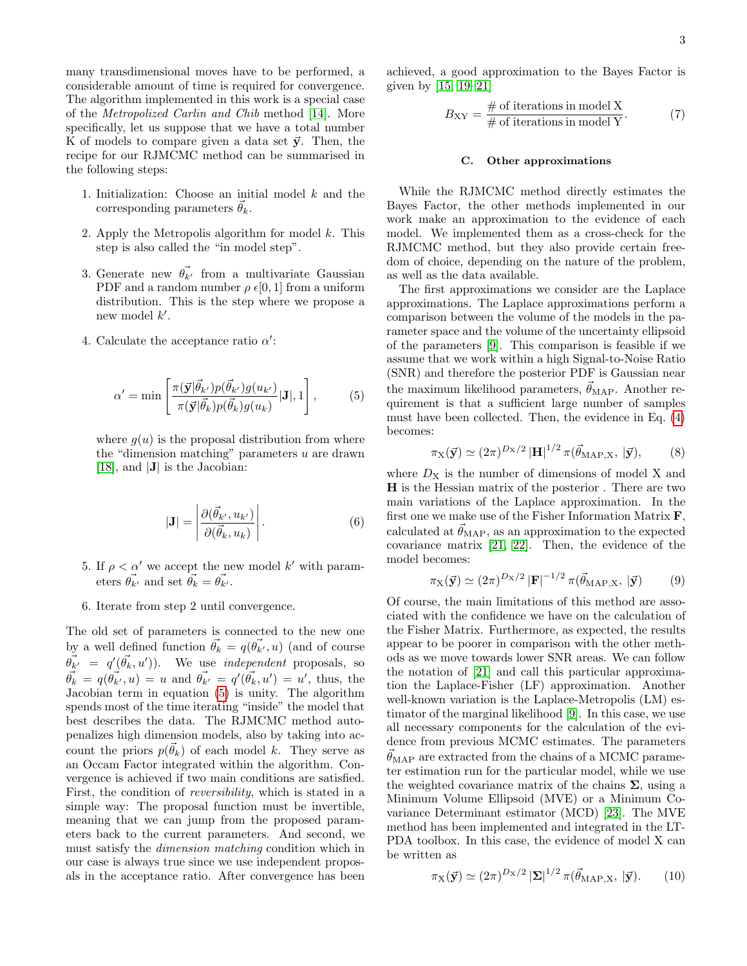many transdimensional moves have to be performed, a considerable amount of time is required for convergence. The algorithm implemented in this work is a special case of the Metropolized Carlin and Chib method [\[14\]](#page-10-5). More specifically, let us suppose that we have a total number K of models to compare given a data set  $\vec{y}$ . Then, the recipe for our RJMCMC method can be summarised in the following steps:

- 1. Initialization: Choose an initial model  $k$  and the corresponding parameters  $\theta_k$ .
- 2. Apply the Metropolis algorithm for model  $k$ . This step is also called the "in model step".
- 3. Generate new  $\vec{\theta_{k'}}$  from a multivariate Gaussian PDF and a random number  $\rho \epsilon [0, 1]$  from a uniform distribution. This is the step where we propose a new model  $k'$ .
- 4. Calculate the acceptance ratio  $\alpha'$ :

<span id="page-2-0"></span>
$$
\alpha' = \min\left[\frac{\pi(\vec{\mathbf{y}}|\vec{\theta}_{k'})p(\vec{\theta}_{k'})g(u_{k'})}{\pi(\vec{\mathbf{y}}|\vec{\theta}_{k})p(\vec{\theta}_{k})g(u_{k})}\vert \mathbf{J}\vert, 1\right],\tag{5}
$$

where  $g(u)$  is the proposal distribution from where the "dimension matching" parameters u are drawn [\[18\]](#page-10-6), and |J| is the Jacobian:

$$
|\mathbf{J}| = \left| \frac{\partial(\vec{\theta}_{k'}, u_{k'})}{\partial(\vec{\theta}_k, u_k)} \right|.
$$
 (6)

- 5. If  $\rho < \alpha'$  we accept the new model k' with parameters  $\vec{\theta_{k'}}$  and set  $\vec{\theta_k} = \vec{\theta_{k'}}$ .
- 6. Iterate from step 2 until convergence.

The old set of parameters is connected to the new one by a well defined function  $\vec{\theta_k} = q(\vec{\theta_{k'}}, u)$  (and of course  $\vec{\theta_{k'}} = q'(\vec{\theta_k}, u'))$ . We use *independent* proposals, so  $\vec{\theta_k} = q(\vec{\theta_{k'}}, u) = u$  and  $\vec{\theta_{k'}} = q'(\vec{\theta_k}, u') = u'$ , thus, the Jacobian term in equation [\(5\)](#page-2-0) is unity. The algorithm spends most of the time iterating "inside" the model that best describes the data. The RJMCMC method autopenalizes high dimension models, also by taking into account the priors  $p(\vec{\theta}_k)$  of each model k. They serve as an Occam Factor integrated within the algorithm. Convergence is achieved if two main conditions are satisfied. First, the condition of reversibility, which is stated in a simple way: The proposal function must be invertible, meaning that we can jump from the proposed parameters back to the current parameters. And second, we must satisfy the dimension matching condition which in our case is always true since we use independent proposals in the acceptance ratio. After convergence has been

achieved, a good approximation to the Bayes Factor is given by [\[15,](#page-10-4) [19–](#page-10-7)[21\]](#page-10-8)

$$
B_{XY} = \frac{\text{\# of iterations in model X}}{\text{\# of iterations in model Y}}.
$$
 (7)

# <span id="page-2-1"></span>C. Other approximations

While the RJMCMC method directly estimates the Bayes Factor, the other methods implemented in our work make an approximation to the evidence of each model. We implemented them as a cross-check for the RJMCMC method, but they also provide certain freedom of choice, depending on the nature of the problem, as well as the data available.

The first approximations we consider are the Laplace approximations. The Laplace approximations perform a comparison between the volume of the models in the parameter space and the volume of the uncertainty ellipsoid of the parameters [\[9\]](#page-9-7). This comparison is feasible if we assume that we work within a high Signal-to-Noise Ratio (SNR) and therefore the posterior PDF is Gaussian near the maximum likelihood parameters,  $\vec{\theta}_{MAP}$ . Another requirement is that a sufficient large number of samples must have been collected. Then, the evidence in Eq. [\(4\)](#page-1-1) becomes:

$$
\pi_X(\vec{\mathbf{y}}) \simeq (2\pi)^{D_X/2} \left| \mathbf{H} \right|^{1/2} \pi(\vec{\theta}_{\text{MAP},X}, \, |\vec{\mathbf{y}}), \qquad (8)
$$

where  $D_X$  is the number of dimensions of model X and H is the Hessian matrix of the posterior . There are two main variations of the Laplace approximation. In the first one we make use of the Fisher Information Matrix  $\mathbf{F}$ , calculated at  $\vec{\theta}_{MAP}$ , as an approximation to the expected covariance matrix [\[21,](#page-10-8) [22\]](#page-10-9). Then, the evidence of the model becomes:

$$
\pi_{\mathbf{X}}(\vec{\mathbf{y}}) \simeq (2\pi)^{D_{\mathbf{X}}/2} |\mathbf{F}|^{-1/2} \pi(\vec{\theta}_{\text{MAP},\mathbf{X}}, |\vec{\mathbf{y}})
$$
(9)

Of course, the main limitations of this method are associated with the confidence we have on the calculation of the Fisher Matrix. Furthermore, as expected, the results appear to be poorer in comparison with the other methods as we move towards lower SNR areas. We can follow the notation of [\[21\]](#page-10-8) and call this particular approximation the Laplace-Fisher (LF) approximation. Another well-known variation is the Laplace-Metropolis (LM) estimator of the marginal likelihood [\[9\]](#page-9-7). In this case, we use all necessary components for the calculation of the evidence from previous MCMC estimates. The parameters  $\vec{\theta}_{MAP}$  are extracted from the chains of a MCMC parameter estimation run for the particular model, while we use the weighted covariance matrix of the chains  $\Sigma$ , using a Minimum Volume Ellipsoid (MVE) or a Minimum Covariance Determinant estimator (MCD) [\[23\]](#page-10-10). The MVE method has been implemented and integrated in the LT-PDA toolbox. In this case, the evidence of model X can be written as

$$
\pi_X(\vec{\mathbf{y}}) \simeq (2\pi)^{D_X/2} |\Sigma|^{1/2} \pi(\vec{\theta}_{\text{MAP},X}, |\vec{\mathbf{y}}). \qquad (10)
$$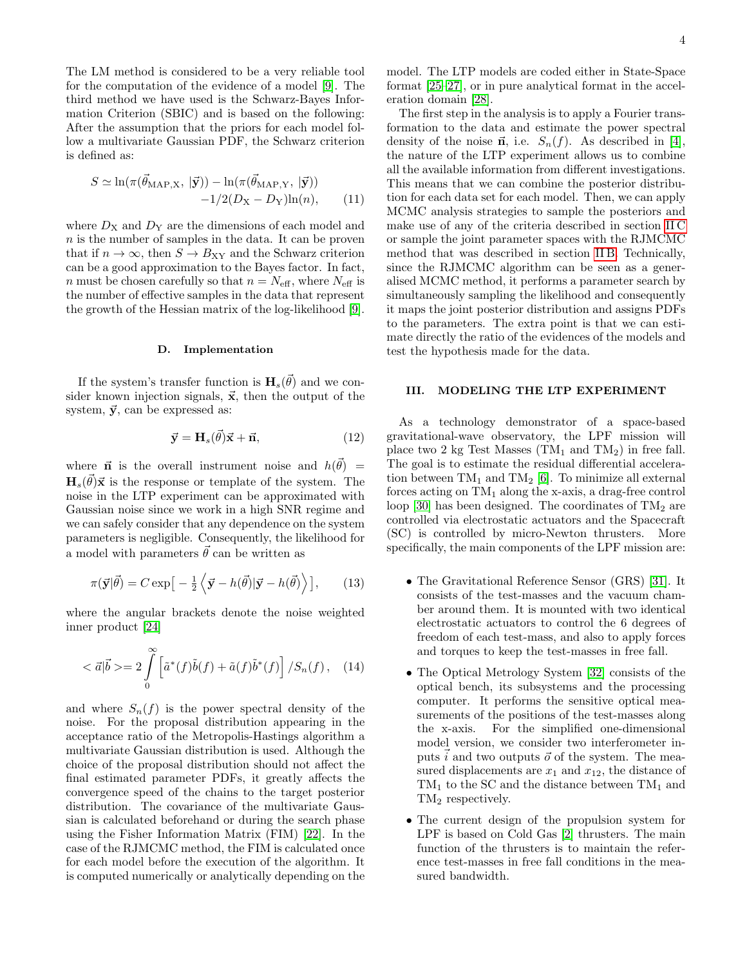The LM method is considered to be a very reliable tool for the computation of the evidence of a model [\[9\]](#page-9-7). The third method we have used is the Schwarz-Bayes Information Criterion (SBIC) and is based on the following: After the assumption that the priors for each model follow a multivariate Gaussian PDF, the Schwarz criterion is defined as:

$$
S \simeq \ln(\pi(\vec{\theta}_{\text{MAP,X}}, |\vec{\mathbf{y}})) - \ln(\pi(\vec{\theta}_{\text{MAP,Y}}, |\vec{\mathbf{y}})) - 1/2(D_X - D_Y)\ln(n), \qquad (11)
$$

where  $D_X$  and  $D_Y$  are the dimensions of each model and  $n$  is the number of samples in the data. It can be proven that if  $n \to \infty$ , then  $S \to B_{XY}$  and the Schwarz criterion can be a good approximation to the Bayes factor. In fact, n must be chosen carefully so that  $n = N_{\text{eff}}$ , where  $N_{\text{eff}}$  is the number of effective samples in the data that represent the growth of the Hessian matrix of the log-likelihood [\[9\]](#page-9-7).

#### D. Implementation

If the system's transfer function is  $\mathbf{H}_s(\vec{\theta})$  and we consider known injection signals,  $\vec{x}$ , then the output of the system,  $\vec{y}$ , can be expressed as:

$$
\vec{\mathbf{y}} = \mathbf{H}_s(\vec{\theta})\vec{\mathbf{x}} + \vec{\mathbf{n}},\tag{12}
$$

where  $\vec{\mathbf{n}}$  is the overall instrument noise and  $h(\vec{\theta}) =$  $\mathbf{H}_s(\vec{\theta})\vec{\mathbf{x}}$  is the response or template of the system. The noise in the LTP experiment can be approximated with Gaussian noise since we work in a high SNR regime and we can safely consider that any dependence on the system parameters is negligible. Consequently, the likelihood for a model with parameters  $\vec{\theta}$  can be written as

$$
\pi(\vec{\mathbf{y}}|\vec{\theta}) = C \exp\left[-\frac{1}{2}\left\langle \vec{\mathbf{y}} - h(\vec{\theta})|\vec{\mathbf{y}} - h(\vec{\theta})\right\rangle\right],\qquad(13)
$$

where the angular brackets denote the noise weighted inner product [\[24\]](#page-10-11)

$$
\langle \vec{a} | \vec{b} \rangle = 2 \int_{0}^{\infty} \left[ \tilde{a}^*(f) \tilde{b}(f) + \tilde{a}(f) \tilde{b}^*(f) \right] / S_n(f) \,, \quad (14)
$$

and where  $S_n(f)$  is the power spectral density of the noise. For the proposal distribution appearing in the acceptance ratio of the Metropolis-Hastings algorithm a multivariate Gaussian distribution is used. Although the choice of the proposal distribution should not affect the final estimated parameter PDFs, it greatly affects the convergence speed of the chains to the target posterior distribution. The covariance of the multivariate Gaussian is calculated beforehand or during the search phase using the Fisher Information Matrix (FIM) [\[22\]](#page-10-9). In the case of the RJMCMC method, the FIM is calculated once for each model before the execution of the algorithm. It is computed numerically or analytically depending on the

model. The LTP models are coded either in State-Space format [\[25–](#page-10-12)[27\]](#page-10-13), or in pure analytical format in the acceleration domain [\[28\]](#page-10-14).

The first step in the analysis is to apply a Fourier transformation to the data and estimate the power spectral density of the noise  $\vec{n}$ , i.e.  $S_n(f)$ . As described in [\[4\]](#page-9-3), the nature of the LTP experiment allows us to combine all the available information from different investigations. This means that we can combine the posterior distribution for each data set for each model. Then, we can apply MCMC analysis strategies to sample the posteriors and make use of any of the criteria described in section [II C](#page-2-1) or sample the joint parameter spaces with the RJMCMC method that was described in section [II B.](#page-1-2) Technically, since the RJMCMC algorithm can be seen as a generalised MCMC method, it performs a parameter search by simultaneously sampling the likelihood and consequently it maps the joint posterior distribution and assigns PDFs to the parameters. The extra point is that we can estimate directly the ratio of the evidences of the models and test the hypothesis made for the data.

## <span id="page-3-0"></span>III. MODELING THE LTP EXPERIMENT

As a technology demonstrator of a space-based gravitational-wave observatory, the LPF mission will place two 2 kg Test Masses  $(TM_1 \text{ and } TM_2)$  in free fall. The goal is to estimate the residual differential acceleration between  $TM_1$  and  $TM_2$  [\[6\]](#page-9-4). To minimize all external forces acting on  $TM_1$  along the x-axis, a drag-free control loop [\[30\]](#page-10-15) has been designed. The coordinates of  $TM_2$  are controlled via electrostatic actuators and the Spacecraft (SC) is controlled by micro-Newton thrusters. More specifically, the main components of the LPF mission are:

- The Gravitational Reference Sensor (GRS) [\[31\]](#page-10-16). It consists of the test-masses and the vacuum chamber around them. It is mounted with two identical electrostatic actuators to control the 6 degrees of freedom of each test-mass, and also to apply forces and torques to keep the test-masses in free fall.
- The Optical Metrology System [\[32\]](#page-10-17) consists of the optical bench, its subsystems and the processing computer. It performs the sensitive optical measurements of the positions of the test-masses along the x-axis. For the simplified one-dimensional model version, we consider two interferometer inputs  $\vec{i}$  and two outputs  $\vec{o}$  of the system. The measured displacements are  $x_1$  and  $x_{12}$ , the distance of  $\rm TM_{1}$  to the SC and the distance between  $\rm TM_{1}$  and TM<sup>2</sup> respectively.
- The current design of the propulsion system for LPF is based on Cold Gas [\[2\]](#page-9-1) thrusters. The main function of the thrusters is to maintain the reference test-masses in free fall conditions in the measured bandwidth.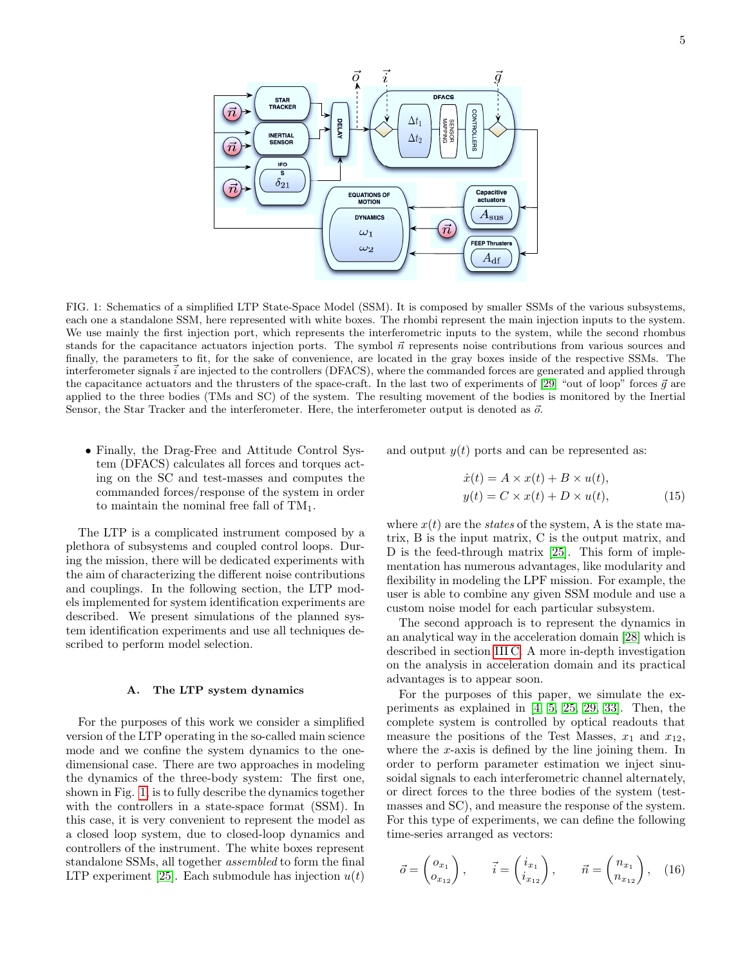

<span id="page-4-0"></span>FIG. 1: Schematics of a simplified LTP State-Space Model (SSM). It is composed by smaller SSMs of the various subsystems, each one a standalone SSM, here represented with white boxes. The rhombi represent the main injection inputs to the system. We use mainly the first injection port, which represents the interferometric inputs to the system, while the second rhombus stands for the capacitance actuators injection ports. The symbol  $\vec{n}$  represents noise contributions from various sources and finally, the parameters to fit, for the sake of convenience, are located in the gray boxes inside of the respective SSMs. The interferometer signals  $i$  are injected to the controllers (DFACS), where the commanded forces are generated and applied through the capacitance actuators and the thrusters of the space-craft. In the last two of experiments of [\[29\]](#page-10-18) "out of loop" forces  $\vec{g}$  are applied to the three bodies (TMs and SC) of the system. The resulting movement of the bodies is monitored by the Inertial Sensor, the Star Tracker and the interferometer. Here, the interferometer output is denoted as  $\vec{o}$ .

• Finally, the Drag-Free and Attitude Control System (DFACS) calculates all forces and torques acting on the SC and test-masses and computes the commanded forces/response of the system in order to maintain the nominal free fall of  $TM_1$ .

The LTP is a complicated instrument composed by a plethora of subsystems and coupled control loops. During the mission, there will be dedicated experiments with the aim of characterizing the different noise contributions and couplings. In the following section, the LTP models implemented for system identification experiments are described. We present simulations of the planned system identification experiments and use all techniques described to perform model selection.

# A. The LTP system dynamics

For the purposes of this work we consider a simplified version of the LTP operating in the so-called main science mode and we confine the system dynamics to the onedimensional case. There are two approaches in modeling the dynamics of the three-body system: The first one, shown in Fig. [1,](#page-4-0) is to fully describe the dynamics together with the controllers in a state-space format (SSM). In this case, it is very convenient to represent the model as a closed loop system, due to closed-loop dynamics and controllers of the instrument. The white boxes represent standalone SSMs, all together assembled to form the final LTP experiment [\[25\]](#page-10-12). Each submodule has injection  $u(t)$  and output  $y(t)$  ports and can be represented as:

$$
\begin{aligned} \dot{x}(t) &= A \times x(t) + B \times u(t), \\ y(t) &= C \times x(t) + D \times u(t), \end{aligned} \tag{15}
$$

where  $x(t)$  are the *states* of the system, A is the state matrix, B is the input matrix, C is the output matrix, and D is the feed-through matrix [\[25\]](#page-10-12). This form of implementation has numerous advantages, like modularity and flexibility in modeling the LPF mission. For example, the user is able to combine any given SSM module and use a custom noise model for each particular subsystem.

The second approach is to represent the dynamics in an analytical way in the acceleration domain [\[28\]](#page-10-14) which is described in section [III C.](#page-6-0) A more in-depth investigation on the analysis in acceleration domain and its practical advantages is to appear soon.

For the purposes of this paper, we simulate the experiments as explained in [\[4,](#page-9-3) [5,](#page-9-10) [25,](#page-10-12) [29,](#page-10-18) [33\]](#page-10-19). Then, the complete system is controlled by optical readouts that measure the positions of the Test Masses,  $x_1$  and  $x_{12}$ , where the  $x$ -axis is defined by the line joining them. In order to perform parameter estimation we inject sinusoidal signals to each interferometric channel alternately, or direct forces to the three bodies of the system (testmasses and SC), and measure the response of the system. For this type of experiments, we can define the following time-series arranged as vectors:

$$
\vec{o} = \begin{pmatrix} o_{x_1} \\ o_{x_{12}} \end{pmatrix}, \qquad \vec{i} = \begin{pmatrix} i_{x_1} \\ i_{x_{12}} \end{pmatrix}, \qquad \vec{n} = \begin{pmatrix} n_{x_1} \\ n_{x_{12}} \end{pmatrix}, \quad (16)
$$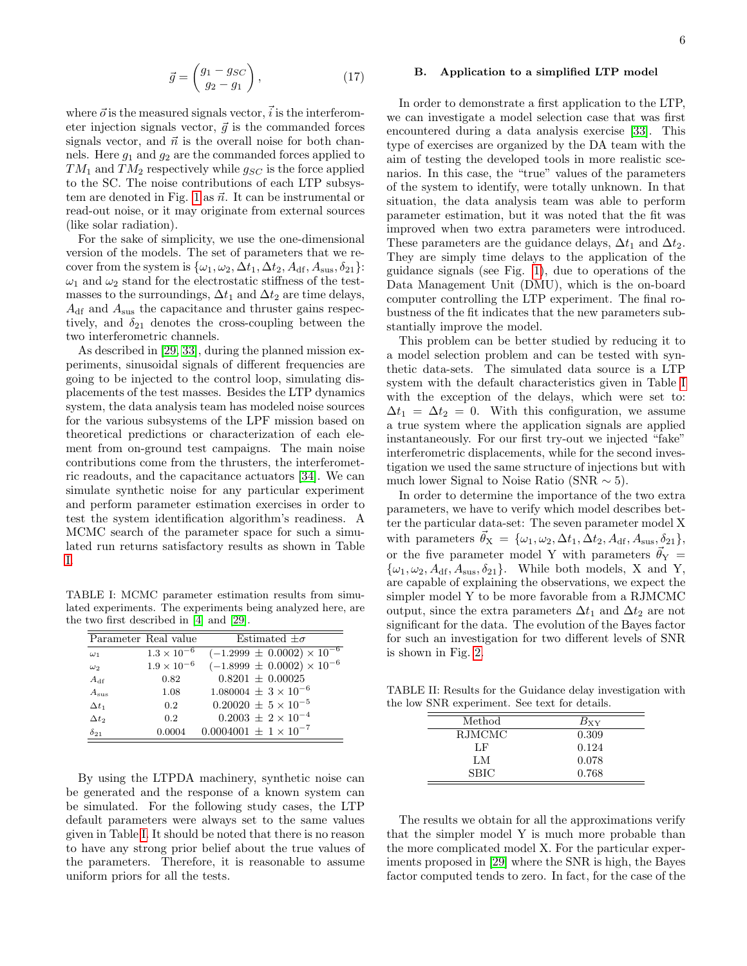$$
\vec{g} = \begin{pmatrix} g_1 - g_{SC} \\ g_2 - g_1 \end{pmatrix},\tag{17}
$$

where  $\vec{o}$  is the measured signals vector,  $\vec{i}$  is the interferometer injection signals vector,  $\vec{q}$  is the commanded forces signals vector, and  $\vec{n}$  is the overall noise for both channels. Here  $g_1$  and  $g_2$  are the commanded forces applied to  $TM_1$  and  $TM_2$  respectively while  $g_{SC}$  is the force applied to the SC. The noise contributions of each LTP subsys-tem are denoted in Fig. [1](#page-4-0) as  $\vec{n}$ . It can be instrumental or read-out noise, or it may originate from external sources (like solar radiation).

For the sake of simplicity, we use the one-dimensional version of the models. The set of parameters that we recover from the system is  $\{\omega_1, \omega_2, \Delta t_1, \Delta t_2, A_{\text{df}}, A_{\text{sus}}, \delta_{21}\}$ :  $\omega_1$  and  $\omega_2$  stand for the electrostatic stiffness of the testmasses to the surroundings,  $\Delta t_1$  and  $\Delta t_2$  are time delays,  $A_{\text{df}}$  and  $A_{\text{sus}}$  the capacitance and thruster gains respectively, and  $\delta_{21}$  denotes the cross-coupling between the two interferometric channels.

As described in [\[29,](#page-10-18) [33\]](#page-10-19), during the planned mission experiments, sinusoidal signals of different frequencies are going to be injected to the control loop, simulating displacements of the test masses. Besides the LTP dynamics system, the data analysis team has modeled noise sources for the various subsystems of the LPF mission based on theoretical predictions or characterization of each element from on-ground test campaigns. The main noise contributions come from the thrusters, the interferometric readouts, and the capacitance actuators [\[34\]](#page-10-20). We can simulate synthetic noise for any particular experiment and perform parameter estimation exercises in order to test the system identification algorithm's readiness. A MCMC search of the parameter space for such a simulated run returns satisfactory results as shown in Table [I.](#page-5-0)

<span id="page-5-0"></span>TABLE I: MCMC parameter estimation results from simulated experiments. The experiments being analyzed here, are the two first described in [\[4\]](#page-9-3) and [\[29\]](#page-10-18).

|                 | Parameter Real value | Estimated $\pm \sigma$                |
|-----------------|----------------------|---------------------------------------|
| $\omega_1$      | $1.3 \times 10^{-6}$ | $(-1.2999 \pm 0.0002) \times 10^{-6}$ |
| $\omega_2$      | $1.9 \times 10^{-6}$ | $(-1.8999 \pm 0.0002) \times 10^{-6}$ |
| $A_{\text{df}}$ | 0.82                 | $0.8201 \pm 0.00025$                  |
| $A_{\rm sus}$   | 1.08                 | $1.080004 \pm 3 \times 10^{-6}$       |
| $\Delta t_1$    | 0.2                  | $0.20020 \pm 5 \times 10^{-5}$        |
| $\Delta t_2$    | 0.2 <sub>2</sub>     | $0.2003 \pm 2 \times 10^{-4}$         |
| $\delta_{21}$   | 0.0004               | $0.0004001 \pm 1 \times 10^{-7}$      |

By using the LTPDA machinery, synthetic noise can be generated and the response of a known system can be simulated. For the following study cases, the LTP default parameters were always set to the same values given in Table [I.](#page-5-0) It should be noted that there is no reason to have any strong prior belief about the true values of the parameters. Therefore, it is reasonable to assume uniform priors for all the tests.

# B. Application to a simplified LTP model

In order to demonstrate a first application to the LTP, we can investigate a model selection case that was first encountered during a data analysis exercise [\[33\]](#page-10-19). This type of exercises are organized by the DA team with the aim of testing the developed tools in more realistic scenarios. In this case, the "true" values of the parameters of the system to identify, were totally unknown. In that situation, the data analysis team was able to perform parameter estimation, but it was noted that the fit was improved when two extra parameters were introduced. These parameters are the guidance delays,  $\Delta t_1$  and  $\Delta t_2$ . They are simply time delays to the application of the guidance signals (see Fig. [1\)](#page-4-0), due to operations of the Data Management Unit (DMU), which is the on-board computer controlling the LTP experiment. The final robustness of the fit indicates that the new parameters substantially improve the model.

This problem can be better studied by reducing it to a model selection problem and can be tested with synthetic data-sets. The simulated data source is a LTP system with the default characteristics given in Table [I](#page-5-0) with the exception of the delays, which were set to:  $\Delta t_1 = \Delta t_2 = 0$ . With this configuration, we assume a true system where the application signals are applied instantaneously. For our first try-out we injected "fake" interferometric displacements, while for the second investigation we used the same structure of injections but with much lower Signal to Noise Ratio (SNR  $\sim$  5).

In order to determine the importance of the two extra parameters, we have to verify which model describes better the particular data-set: The seven parameter model X with parameters  $\vec{\theta}_X = {\omega_1, \omega_2, \Delta t_1, \Delta t_2, A_{df}, A_{sus}, \delta_{21}},$ or the five parameter model Y with parameters  $\ddot{\theta}_Y$  =  $\{\omega_1, \omega_2, A_{\text{df}}, A_{\text{sus}}, \delta_{21}\}.$  While both models, X and Y, are capable of explaining the observations, we expect the simpler model Y to be more favorable from a RJMCMC output, since the extra parameters  $\Delta t_1$  and  $\Delta t_2$  are not significant for the data. The evolution of the Bayes factor for such an investigation for two different levels of SNR is shown in Fig. [2.](#page-6-1)

TABLE II: Results for the Guidance delay investigation with the low SNR experiment. See text for details.

<span id="page-5-1"></span>

| Method      | $B_{XY}$ |
|-------------|----------|
| RJMCMC      | 0.309    |
| LF          | 0.124    |
| LM          | 0.078    |
| <b>SBIC</b> | 0.768    |

The results we obtain for all the approximations verify that the simpler model Y is much more probable than the more complicated model X. For the particular experiments proposed in [\[29\]](#page-10-18) where the SNR is high, the Bayes factor computed tends to zero. In fact, for the case of the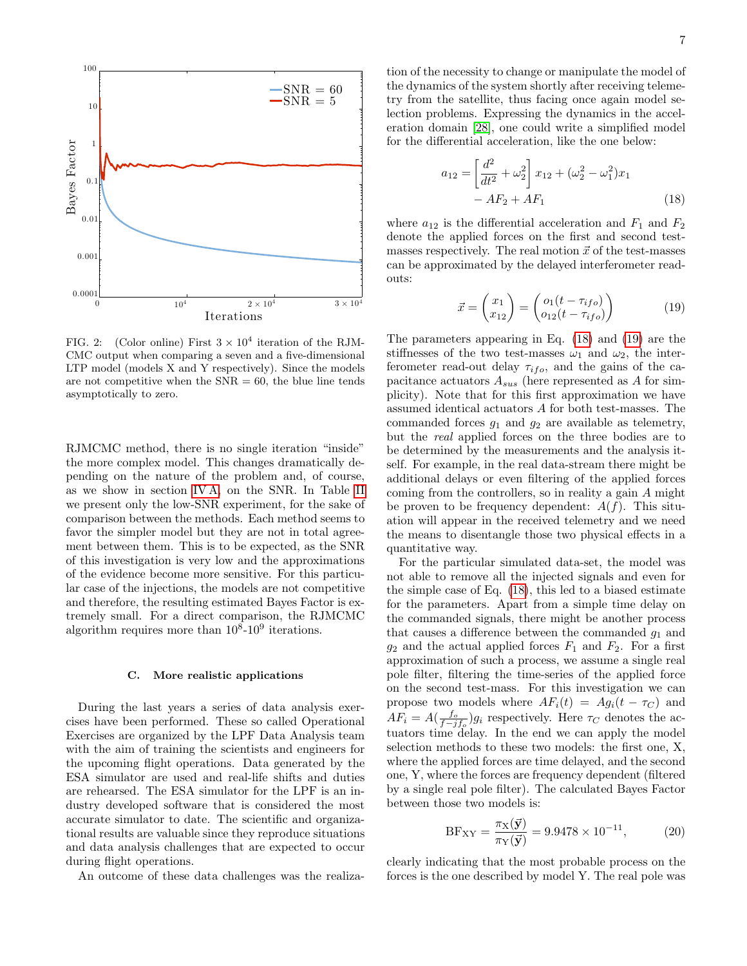

<span id="page-6-1"></span>FIG. 2: (Color online) First  $3 \times 10^4$  iteration of the RJM-CMC output when comparing a seven and a five-dimensional LTP model (models X and Y respectively). Since the models are not competitive when the  $SNR = 60$ , the blue line tends asymptotically to zero.

RJMCMC method, there is no single iteration "inside" the more complex model. This changes dramatically depending on the nature of the problem and, of course, as we show in section [IV A,](#page-7-1) on the SNR. In Table [II](#page-5-1) we present only the low-SNR experiment, for the sake of comparison between the methods. Each method seems to favor the simpler model but they are not in total agreement between them. This is to be expected, as the SNR of this investigation is very low and the approximations of the evidence become more sensitive. For this particular case of the injections, the models are not competitive and therefore, the resulting estimated Bayes Factor is extremely small. For a direct comparison, the RJMCMC algorithm requires more than  $10^8 \text{-} 10^9$  iterations.

#### <span id="page-6-0"></span>C. More realistic applications

During the last years a series of data analysis exercises have been performed. These so called Operational Exercises are organized by the LPF Data Analysis team with the aim of training the scientists and engineers for the upcoming flight operations. Data generated by the ESA simulator are used and real-life shifts and duties are rehearsed. The ESA simulator for the LPF is an industry developed software that is considered the most accurate simulator to date. The scientific and organizational results are valuable since they reproduce situations and data analysis challenges that are expected to occur during flight operations.

An outcome of these data challenges was the realiza-

tion of the necessity to change or manipulate the model of the dynamics of the system shortly after receiving telemetry from the satellite, thus facing once again model selection problems. Expressing the dynamics in the acceleration domain [\[28\]](#page-10-14), one could write a simplified model for the differential acceleration, like the one below:

<span id="page-6-2"></span>
$$
a_{12} = \left[\frac{d^2}{dt^2} + \omega_2^2\right] x_{12} + (\omega_2^2 - \omega_1^2) x_1
$$

$$
- AF_2 + AF_1 \tag{18}
$$

where  $a_{12}$  is the differential acceleration and  $F_1$  and  $F_2$ denote the applied forces on the first and second testmasses respectively. The real motion  $\vec{x}$  of the test-masses can be approximated by the delayed interferometer readouts:

<span id="page-6-3"></span>
$$
\vec{x} = \begin{pmatrix} x_1 \\ x_{12} \end{pmatrix} = \begin{pmatrix} o_1(t - \tau_{ifo}) \\ o_{12}(t - \tau_{ifo}) \end{pmatrix}
$$
(19)

The parameters appearing in Eq. [\(18\)](#page-6-2) and [\(19\)](#page-6-3) are the stiffnesses of the two test-masses  $\omega_1$  and  $\omega_2$ , the interferometer read-out delay  $\tau_{ifo}$ , and the gains of the capacitance actuators  $A_{sus}$  (here represented as A for simplicity). Note that for this first approximation we have assumed identical actuators A for both test-masses. The commanded forces  $g_1$  and  $g_2$  are available as telemetry, but the real applied forces on the three bodies are to be determined by the measurements and the analysis itself. For example, in the real data-stream there might be additional delays or even filtering of the applied forces coming from the controllers, so in reality a gain A might be proven to be frequency dependent:  $A(f)$ . This situation will appear in the received telemetry and we need the means to disentangle those two physical effects in a quantitative way.

For the particular simulated data-set, the model was not able to remove all the injected signals and even for the simple case of Eq. [\(18\)](#page-6-2), this led to a biased estimate for the parameters. Apart from a simple time delay on the commanded signals, there might be another process that causes a difference between the commanded  $g_1$  and  $g_2$  and the actual applied forces  $F_1$  and  $F_2$ . For a first approximation of such a process, we assume a single real pole filter, filtering the time-series of the applied force on the second test-mass. For this investigation we can propose two models where  $AF_i(t) = Ag_i(t - \tau_C)$  and  $AF_i = A(\frac{f_o}{f-jf_o})g_i$  respectively. Here  $\tau_C$  denotes the actuators time delay. In the end we can apply the model selection methods to these two models: the first one, X, where the applied forces are time delayed, and the second one, Y, where the forces are frequency dependent (filtered by a single real pole filter). The calculated Bayes Factor between those two models is:

$$
BF_{XY} = \frac{\pi_X(\vec{y})}{\pi_Y(\vec{y})} = 9.9478 \times 10^{-11},\tag{20}
$$

clearly indicating that the most probable process on the forces is the one described by model Y. The real pole was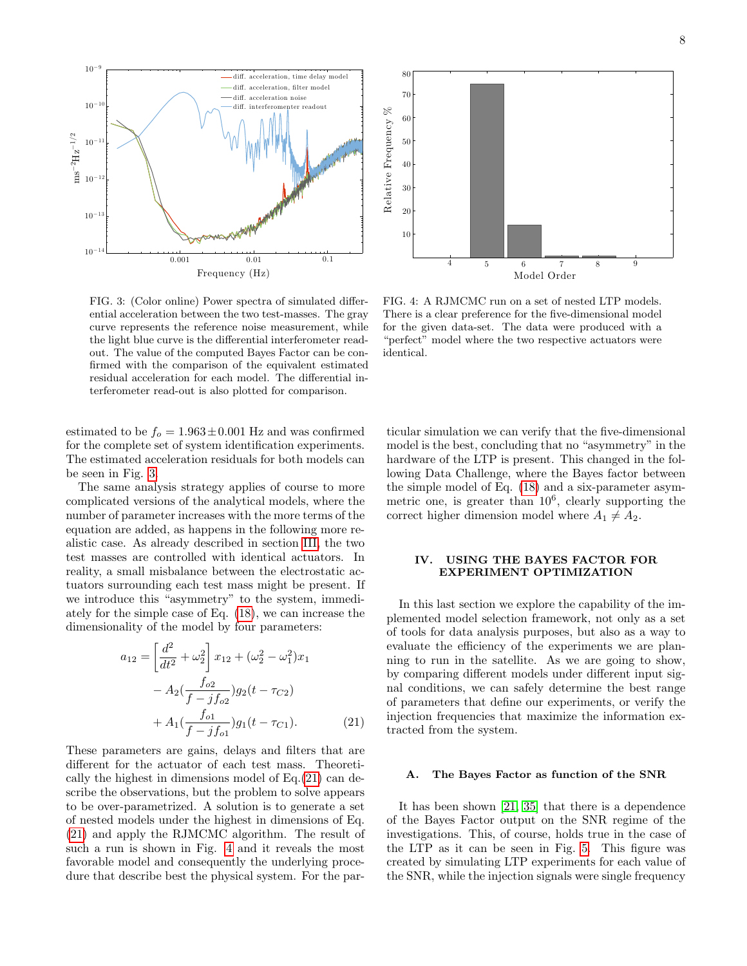

<span id="page-7-2"></span>FIG. 3: (Color online) Power spectra of simulated differential acceleration between the two test-masses. The gray curve represents the reference noise measurement, while the light blue curve is the differential interferometer readout. The value of the computed Bayes Factor can be confirmed with the comparison of the equivalent estimated residual acceleration for each model. The differential interferometer read-out is also plotted for comparison.

estimated to be  $f_o = 1.963 \pm 0.001$  Hz and was confirmed for the complete set of system identification experiments. The estimated acceleration residuals for both models can be seen in Fig. [3.](#page-7-2)

The same analysis strategy applies of course to more complicated versions of the analytical models, where the number of parameter increases with the more terms of the equation are added, as happens in the following more realistic case. As already described in section [III,](#page-3-0) the two test masses are controlled with identical actuators. In reality, a small misbalance between the electrostatic actuators surrounding each test mass might be present. If we introduce this "asymmetry" to the system, immediately for the simple case of Eq. [\(18\)](#page-6-2), we can increase the dimensionality of the model by four parameters:

$$
a_{12} = \left[\frac{d^2}{dt^2} + \omega_2^2\right] x_{12} + (\omega_2^2 - \omega_1^2) x_1
$$

$$
- A_2 \left(\frac{f_{o2}}{f - j f_{o2}}\right) g_2 (t - \tau_{C2})
$$

$$
+ A_1 \left(\frac{f_{o1}}{f - j f_{o1}}\right) g_1 (t - \tau_{C1}). \tag{21}
$$

These parameters are gains, delays and filters that are different for the actuator of each test mass. Theoretically the highest in dimensions model of Eq.[\(21\)](#page-7-3) can describe the observations, but the problem to solve appears to be over-parametrized. A solution is to generate a set of nested models under the highest in dimensions of Eq. [\(21\)](#page-7-3) and apply the RJMCMC algorithm. The result of such a run is shown in Fig. [4](#page-7-4) and it reveals the most favorable model and consequently the underlying procedure that describe best the physical system. For the par-



<span id="page-7-4"></span>FIG. 4: A RJMCMC run on a set of nested LTP models. There is a clear preference for the five-dimensional model for the given data-set. The data were produced with a "perfect" model where the two respective actuators were identical.

ticular simulation we can verify that the five-dimensional model is the best, concluding that no "asymmetry" in the hardware of the LTP is present. This changed in the following Data Challenge, where the Bayes factor between the simple model of Eq. [\(18\)](#page-6-2) and a six-parameter asymmetric one, is greater than  $10^6$ , clearly supporting the correct higher dimension model where  $A_1 \neq A_2$ .

# <span id="page-7-0"></span>IV. USING THE BAYES FACTOR FOR EXPERIMENT OPTIMIZATION

In this last section we explore the capability of the implemented model selection framework, not only as a set of tools for data analysis purposes, but also as a way to evaluate the efficiency of the experiments we are planning to run in the satellite. As we are going to show, by comparing different models under different input signal conditions, we can safely determine the best range of parameters that define our experiments, or verify the injection frequencies that maximize the information extracted from the system.

#### <span id="page-7-3"></span><span id="page-7-1"></span>A. The Bayes Factor as function of the SNR

It has been shown [\[21,](#page-10-8) [35\]](#page-10-21) that there is a dependence of the Bayes Factor output on the SNR regime of the investigations. This, of course, holds true in the case of the LTP as it can be seen in Fig. [5.](#page-8-0) This figure was created by simulating LTP experiments for each value of the SNR, while the injection signals were single frequency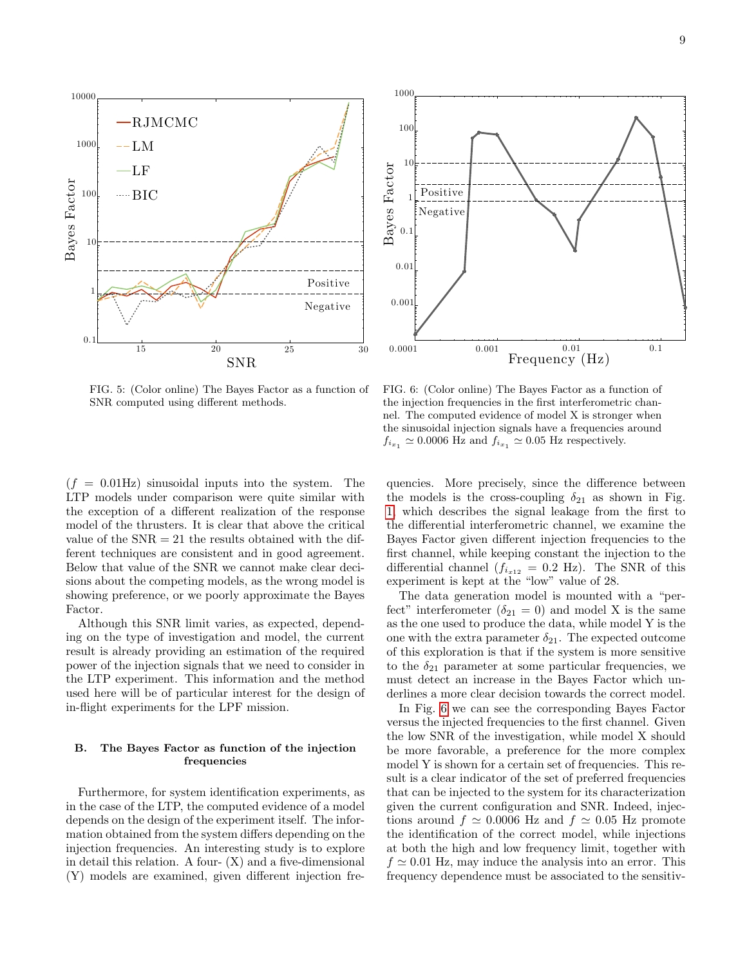

<span id="page-8-0"></span>FIG. 5: (Color online) The Bayes Factor as a function of SNR computed using different methods.



Although this SNR limit varies, as expected, depending on the type of investigation and model, the current result is already providing an estimation of the required power of the injection signals that we need to consider in the LTP experiment. This information and the method used here will be of particular interest for the design of in-flight experiments for the LPF mission.

#### B. The Bayes Factor as function of the injection frequencies

Furthermore, for system identification experiments, as in the case of the LTP, the computed evidence of a model depends on the design of the experiment itself. The information obtained from the system differs depending on the injection frequencies. An interesting study is to explore in detail this relation. A four- $(X)$  and a five-dimensional (Y) models are examined, given different injection fre-



<span id="page-8-1"></span>FIG. 6: (Color online) The Bayes Factor as a function of the injection frequencies in the first interferometric channel. The computed evidence of model X is stronger when the sinusoidal injection signals have a frequencies around  $f_{i_{x_1}} \simeq 0.0006$  Hz and  $f_{i_{x_1}} \simeq 0.05$  Hz respectively.

quencies. More precisely, since the difference between the models is the cross-coupling  $\delta_{21}$  as shown in Fig. [1,](#page-4-0) which describes the signal leakage from the first to the differential interferometric channel, we examine the Bayes Factor given different injection frequencies to the first channel, while keeping constant the injection to the differential channel  $(f_{i_{x12}} = 0.2 \text{ Hz})$ . The SNR of this experiment is kept at the "low" value of 28.

The data generation model is mounted with a "perfect" interferometer  $(\delta_{21} = 0)$  and model X is the same as the one used to produce the data, while model Y is the one with the extra parameter  $\delta_{21}$ . The expected outcome of this exploration is that if the system is more sensitive to the  $\delta_{21}$  parameter at some particular frequencies, we must detect an increase in the Bayes Factor which underlines a more clear decision towards the correct model.

In Fig. [6](#page-8-1) we can see the corresponding Bayes Factor versus the injected frequencies to the first channel. Given the low SNR of the investigation, while model X should be more favorable, a preference for the more complex model Y is shown for a certain set of frequencies. This result is a clear indicator of the set of preferred frequencies that can be injected to the system for its characterization given the current configuration and SNR. Indeed, injections around  $f \simeq 0.0006$  Hz and  $f \simeq 0.05$  Hz promote the identification of the correct model, while injections at both the high and low frequency limit, together with  $f \approx 0.01$  Hz, may induce the analysis into an error. This frequency dependence must be associated to the sensitiv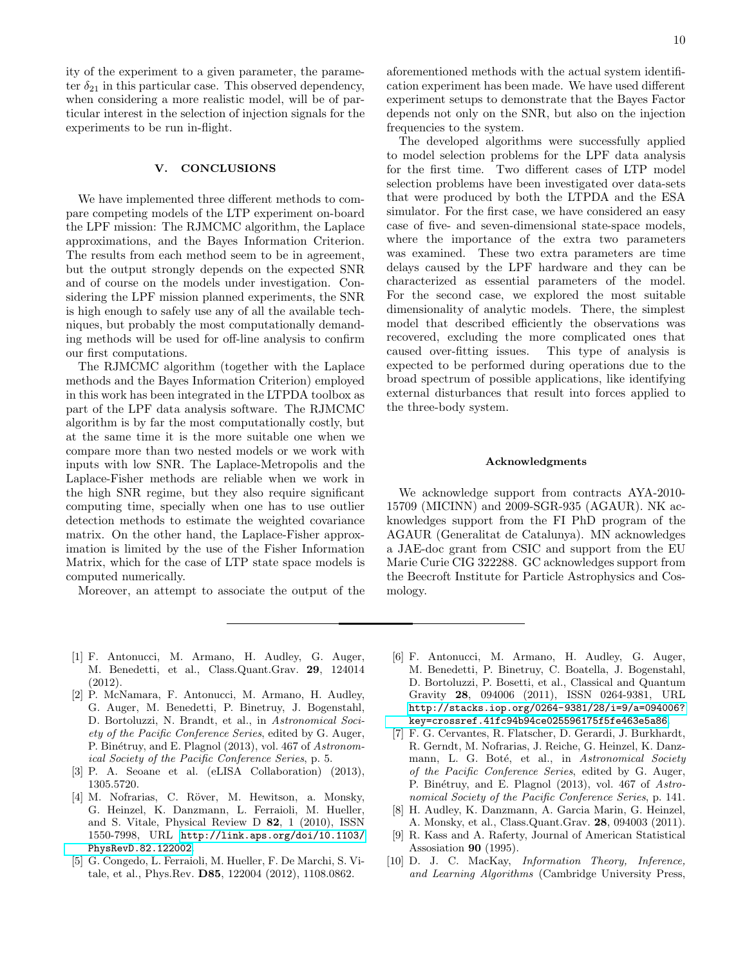ity of the experiment to a given parameter, the parameter  $\delta_{21}$  in this particular case. This observed dependency, when considering a more realistic model, will be of particular interest in the selection of injection signals for the experiments to be run in-flight.

## <span id="page-9-9"></span>V. CONCLUSIONS

We have implemented three different methods to compare competing models of the LTP experiment on-board the LPF mission: The RJMCMC algorithm, the Laplace approximations, and the Bayes Information Criterion. The results from each method seem to be in agreement, but the output strongly depends on the expected SNR and of course on the models under investigation. Considering the LPF mission planned experiments, the SNR is high enough to safely use any of all the available techniques, but probably the most computationally demanding methods will be used for off-line analysis to confirm our first computations.

The RJMCMC algorithm (together with the Laplace methods and the Bayes Information Criterion) employed in this work has been integrated in the LTPDA toolbox as part of the LPF data analysis software. The RJMCMC algorithm is by far the most computationally costly, but at the same time it is the more suitable one when we compare more than two nested models or we work with inputs with low SNR. The Laplace-Metropolis and the Laplace-Fisher methods are reliable when we work in the high SNR regime, but they also require significant computing time, specially when one has to use outlier detection methods to estimate the weighted covariance matrix. On the other hand, the Laplace-Fisher approximation is limited by the use of the Fisher Information Matrix, which for the case of LTP state space models is computed numerically.

Moreover, an attempt to associate the output of the

aforementioned methods with the actual system identification experiment has been made. We have used different experiment setups to demonstrate that the Bayes Factor depends not only on the SNR, but also on the injection frequencies to the system.

The developed algorithms were successfully applied to model selection problems for the LPF data analysis for the first time. Two different cases of LTP model selection problems have been investigated over data-sets that were produced by both the LTPDA and the ESA simulator. For the first case, we have considered an easy case of five- and seven-dimensional state-space models, where the importance of the extra two parameters was examined. These two extra parameters are time delays caused by the LPF hardware and they can be characterized as essential parameters of the model. For the second case, we explored the most suitable dimensionality of analytic models. There, the simplest model that described efficiently the observations was recovered, excluding the more complicated ones that caused over-fitting issues. This type of analysis is expected to be performed during operations due to the broad spectrum of possible applications, like identifying external disturbances that result into forces applied to the three-body system.

#### Acknowledgments

We acknowledge support from contracts AYA-2010- 15709 (MICINN) and 2009-SGR-935 (AGAUR). NK acknowledges support from the FI PhD program of the AGAUR (Generalitat de Catalunya). MN acknowledges a JAE-doc grant from CSIC and support from the EU Marie Curie CIG 322288. GC acknowledges support from the Beecroft Institute for Particle Astrophysics and Cosmology.

- <span id="page-9-0"></span>[1] F. Antonucci, M. Armano, H. Audley, G. Auger, M. Benedetti, et al., Class.Quant.Grav. 29, 124014 (2012).
- <span id="page-9-1"></span>[2] P. McNamara, F. Antonucci, M. Armano, H. Audley, G. Auger, M. Benedetti, P. Binetruy, J. Bogenstahl, D. Bortoluzzi, N. Brandt, et al., in Astronomical Society of the Pacific Conference Series, edited by G. Auger, P. Binétruy, and E. Plagnol (2013), vol. 467 of Astronomical Society of the Pacific Conference Series, p. 5.
- <span id="page-9-2"></span>[3] P. A. Seoane et al. (eLISA Collaboration) (2013), 1305.5720.
- <span id="page-9-3"></span>[4] M. Nofrarias, C. Röver, M. Hewitson, a. Monsky, G. Heinzel, K. Danzmann, L. Ferraioli, M. Hueller, and S. Vitale, Physical Review D 82, 1 (2010), ISSN 1550-7998, URL [http://link.aps.org/doi/10.1103/](http://link.aps.org/doi/10.1103/PhysRevD.82.122002) [PhysRevD.82.122002](http://link.aps.org/doi/10.1103/PhysRevD.82.122002).
- <span id="page-9-10"></span>[5] G. Congedo, L. Ferraioli, M. Hueller, F. De Marchi, S. Vitale, et al., Phys.Rev. D85, 122004 (2012), 1108.0862.
- <span id="page-9-4"></span>[6] F. Antonucci, M. Armano, H. Audley, G. Auger, M. Benedetti, P. Binetruy, C. Boatella, J. Bogenstahl, D. Bortoluzzi, P. Bosetti, et al., Classical and Quantum Gravity 28, 094006 (2011), ISSN 0264-9381, URL [http://stacks.iop.org/0264-9381/28/i=9/a=094006?](http://stacks.iop.org/0264-9381/28/i=9/a=094006?key=crossref.41fc94b94ce025596175f5fe463e5a86) [key=crossref.41fc94b94ce025596175f5fe463e5a86](http://stacks.iop.org/0264-9381/28/i=9/a=094006?key=crossref.41fc94b94ce025596175f5fe463e5a86).
- <span id="page-9-5"></span>[7] F. G. Cervantes, R. Flatscher, D. Gerardi, J. Burkhardt, R. Gerndt, M. Nofrarias, J. Reiche, G. Heinzel, K. Danzmann, L. G. Boté, et al., in Astronomical Society of the Pacific Conference Series, edited by G. Auger, P. Binétruy, and E. Plagnol (2013), vol. 467 of Astronomical Society of the Pacific Conference Series, p. 141.
- <span id="page-9-6"></span>[8] H. Audley, K. Danzmann, A. Garcia Marin, G. Heinzel, A. Monsky, et al., Class.Quant.Grav. 28, 094003 (2011).
- <span id="page-9-7"></span>[9] R. Kass and A. Raferty, Journal of American Statistical Assosiation 90 (1995).
- <span id="page-9-8"></span>[10] D. J. C. MacKay, *Information Theory, Inference*, and Learning Algorithms (Cambridge University Press,